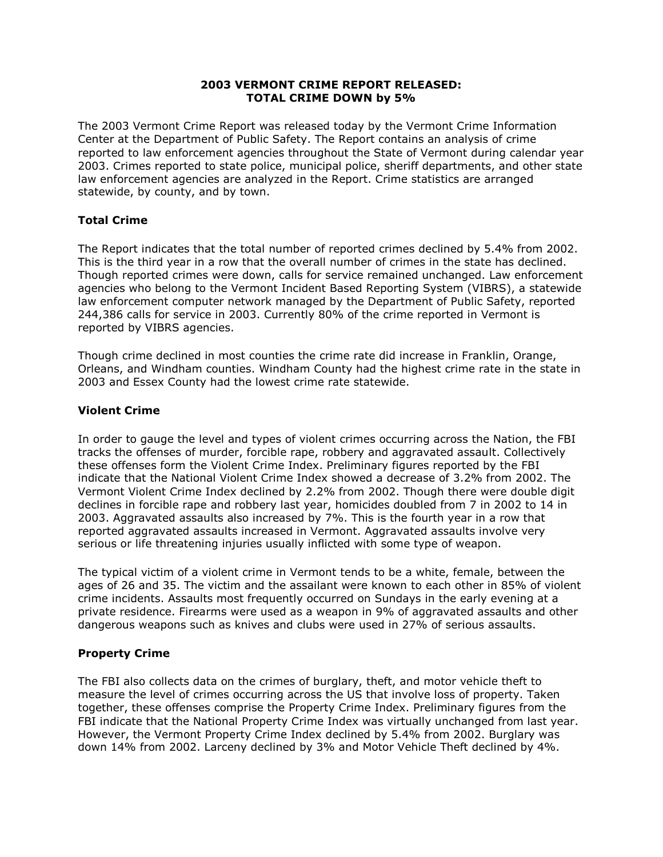## **2003 VERMONT CRIME REPORT RELEASED: TOTAL CRIME DOWN by 5%**

The 2003 Vermont Crime Report was released today by the Vermont Crime Information Center at the Department of Public Safety. The Report contains an analysis of crime reported to law enforcement agencies throughout the State of Vermont during calendar year 2003. Crimes reported to state police, municipal police, sheriff departments, and other state law enforcement agencies are analyzed in the Report. Crime statistics are arranged statewide, by county, and by town.

## **Total Crime**

The Report indicates that the total number of reported crimes declined by 5.4% from 2002. This is the third year in a row that the overall number of crimes in the state has declined. Though reported crimes were down, calls for service remained unchanged. Law enforcement agencies who belong to the Vermont Incident Based Reporting System (VIBRS), a statewide law enforcement computer network managed by the Department of Public Safety, reported 244,386 calls for service in 2003. Currently 80% of the crime reported in Vermont is reported by VIBRS agencies.

Though crime declined in most counties the crime rate did increase in Franklin, Orange, Orleans, and Windham counties. Windham County had the highest crime rate in the state in 2003 and Essex County had the lowest crime rate statewide.

## **Violent Crime**

In order to gauge the level and types of violent crimes occurring across the Nation, the FBI tracks the offenses of murder, forcible rape, robbery and aggravated assault. Collectively these offenses form the Violent Crime Index. Preliminary figures reported by the FBI indicate that the National Violent Crime Index showed a decrease of 3.2% from 2002. The Vermont Violent Crime Index declined by 2.2% from 2002. Though there were double digit declines in forcible rape and robbery last year, homicides doubled from 7 in 2002 to 14 in 2003. Aggravated assaults also increased by 7%. This is the fourth year in a row that reported aggravated assaults increased in Vermont. Aggravated assaults involve very serious or life threatening injuries usually inflicted with some type of weapon.

The typical victim of a violent crime in Vermont tends to be a white, female, between the ages of 26 and 35. The victim and the assailant were known to each other in 85% of violent crime incidents. Assaults most frequently occurred on Sundays in the early evening at a private residence. Firearms were used as a weapon in 9% of aggravated assaults and other dangerous weapons such as knives and clubs were used in 27% of serious assaults.

## **Property Crime**

The FBI also collects data on the crimes of burglary, theft, and motor vehicle theft to measure the level of crimes occurring across the US that involve loss of property. Taken together, these offenses comprise the Property Crime Index. Preliminary figures from the FBI indicate that the National Property Crime Index was virtually unchanged from last year. However, the Vermont Property Crime Index declined by 5.4% from 2002. Burglary was down 14% from 2002. Larceny declined by 3% and Motor Vehicle Theft declined by 4%.